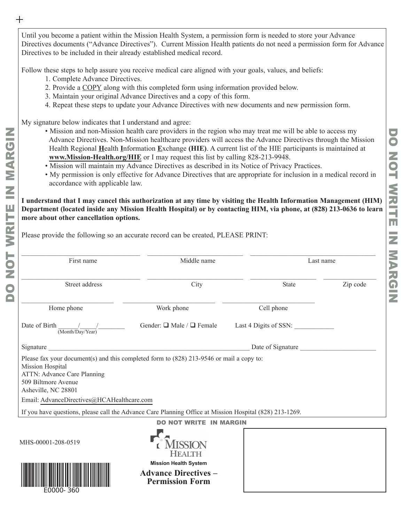Until you become a patient within the Mission Health System, a permission form is needed to store your Advance Directives documents ("Advance Directives"). Current Mission Health patients do not need a permission form for Advance Directives to be included in their already established medical record.

Follow these steps to help assure you receive medical care aligned with your goals, values, and beliefs:

- 1. Complete Advance Directives.
- 2. Provide a COPY along with this completed form using information provided below.
- 3. Maintain your original Advance Directives and a copy of this form.

Please provide the following so an accurate record can be created, PLEASE PRINT:

4. Repeat these steps to update your Advance Directives with new documents and new permission form.

My signature below indicates that I understand and agree:

- Mission and non-Mission health care providers in the region who may treat me will be able to access my Advance Directives. Non-Mission healthcare providers will access the Advance Directives through the Mission Health Regional **H**ealth **I**nformation **E**xchange **(HIE)**. A current list of the HIE participants is maintained at **[www.Mission-Health.org/HIE](https://missionhealth.org/medical-professionals/hie/?doing_wp_cron=1639759462.0560479164123535156250)** or I may request this list by calling 828-213-9948.
- Mission will maintain my Advance Directives as described in its Notice of Privacy Practices.
- My permission is only effective for Advance Directives that are appropriate for inclusion in a medical record in accordance with applicable law.

**I understand that I may cancel this authorization at any time by visiting the Health Information Management (HIM) Department (located inside any Mission Health Hospital) or by contacting HIM, via phone, at (828) 213-0636 to learn more about other cancellation options.** 

| First name                                                                                                                                                                                                                              | Middle name                                                                                                         |                       | Last name |  |
|-----------------------------------------------------------------------------------------------------------------------------------------------------------------------------------------------------------------------------------------|---------------------------------------------------------------------------------------------------------------------|-----------------------|-----------|--|
| Street address                                                                                                                                                                                                                          | City                                                                                                                | <b>State</b>          | Zip code  |  |
| Home phone                                                                                                                                                                                                                              | Work phone                                                                                                          | Cell phone            |           |  |
| Date of Birth<br>$\overline{\text{(MonthlyDay/Year)}}$                                                                                                                                                                                  | Gender: $\Box$ Male / $\Box$ Female                                                                                 | Last 4 Digits of SSN: |           |  |
| Signature                                                                                                                                                                                                                               | <u> 1980 - Johann Barbara, martxa alemaniar argumento estas estas estas en la contrada de la contrada de la con</u> | Date of Signature     |           |  |
| Please fax your document(s) and this completed form to (828) 213-9546 or mail a copy to:<br>Mission Hospital<br>ATTN: Advance Care Planning<br>509 Biltmore Avenue<br>Asheville, NC 28801<br>Email: AdvanceDirectives@HCAHealthcare.com |                                                                                                                     |                       |           |  |
| If you have questions, please call the Advance Care Planning Office at Mission Hospital (828) 213-1269.                                                                                                                                 |                                                                                                                     |                       |           |  |
|                                                                                                                                                                                                                                         | <b>NOT WRITE IN MARGIN</b>                                                                                          |                       |           |  |
| MHS-00001-208-0519                                                                                                                                                                                                                      | <b>HEALTH</b>                                                                                                       |                       |           |  |
|                                                                                                                                                                                                                                         | <b>Mission Health System</b><br><b>Advance Directives –</b><br><b>Permission Form</b>                               |                       |           |  |

 $+$ 

DO NOT WRITE IN MARGIN

WRITI

Щ

 $\leq$ 

MARGIN

E0000-360